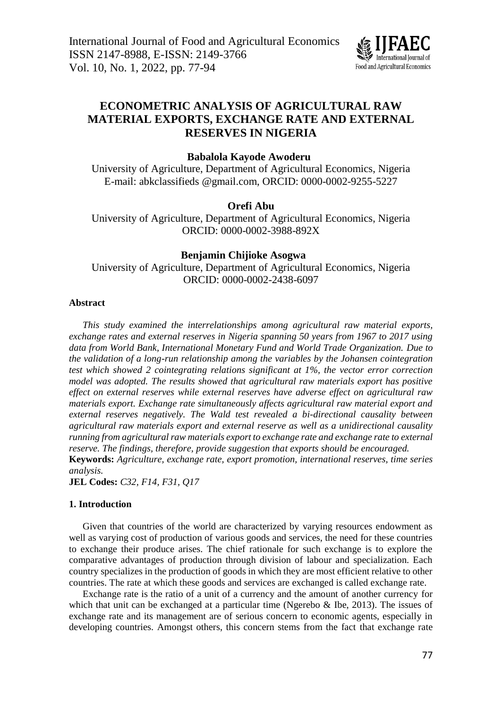

# **ECONOMETRIC ANALYSIS OF AGRICULTURAL RAW MATERIAL EXPORTS, EXCHANGE RATE AND EXTERNAL RESERVES IN NIGERIA**

## **Babalola Kayode Awoderu**

University of Agriculture, Department of Agricultural Economics, Nigeria E-mail: [abkclassifieds.@gmail.com,](mailto:abkclassifieds.@gmail.com) ORCID: 0000-0002-9255-5227

## **Orefi Abu**

University of Agriculture, Department of Agricultural Economics, Nigeria ORCID: 0000-0002-3988-892X

## **Benjamin Chijioke Asogwa**

University of Agriculture, Department of Agricultural Economics, Nigeria ORCID: 0000-0002-2438-6097

## **Abstract**

*This study examined the interrelationships among agricultural raw material exports, exchange rates and external reserves in Nigeria spanning 50 years from 1967 to 2017 using data from World Bank, International Monetary Fund and World Trade Organization. Due to the validation of a long-run relationship among the variables by the Johansen cointegration test which showed 2 cointegrating relations significant at 1%, the vector error correction model was adopted. The results showed that agricultural raw materials export has positive effect on external reserves while external reserves have adverse effect on agricultural raw materials export. Exchange rate simultaneously affects agricultural raw material export and external reserves negatively. The Wald test revealed a bi-directional causality between agricultural raw materials export and external reserve as well as a unidirectional causality running from agricultural raw materials export to exchange rate and exchange rate to external reserve. The findings, therefore, provide suggestion that exports should be encouraged.*

**Keywords:** *Agriculture, exchange rate, export promotion, international reserves, time series analysis.*

**JEL Codes:** *C32, F14, F31, Q17*

## **1. Introduction**

Given that countries of the world are characterized by varying resources endowment as well as varying cost of production of various goods and services, the need for these countries to exchange their produce arises. The chief rationale for such exchange is to explore the comparative advantages of production through division of labour and specialization. Each country specializes in the production of goods in which they are most efficient relative to other countries. The rate at which these goods and services are exchanged is called exchange rate.

Exchange rate is the ratio of a unit of a currency and the amount of another currency for which that unit can be exchanged at a particular time (Ngerebo  $\&$  Ibe, 2013). The issues of exchange rate and its management are of serious concern to economic agents, especially in developing countries. Amongst others, this concern stems from the fact that exchange rate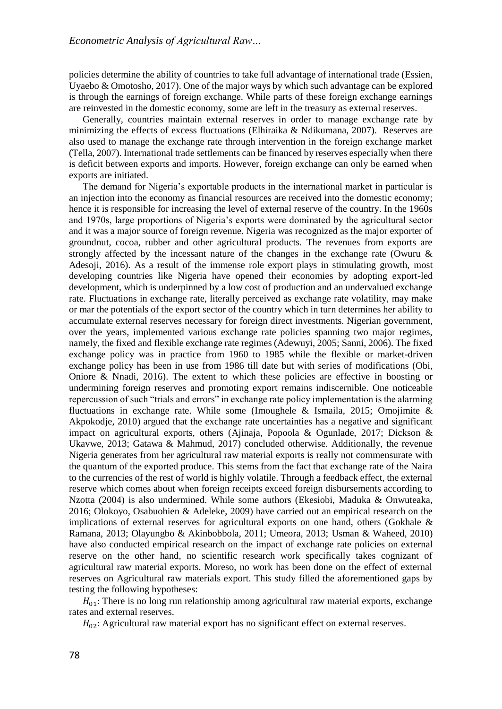policies determine the ability of countries to take full advantage of international trade (Essien, Uyaebo & Omotosho, 2017). One of the major ways by which such advantage can be explored is through the earnings of foreign exchange. While parts of these foreign exchange earnings are reinvested in the domestic economy, some are left in the treasury as external reserves.

Generally, countries maintain external reserves in order to manage exchange rate by minimizing the effects of excess fluctuations (Elhiraika & Ndikumana, 2007). Reserves are also used to manage the exchange rate through intervention in the foreign exchange market (Tella, 2007). International trade settlements can be financed by reserves especially when there is deficit between exports and imports. However, foreign exchange can only be earned when exports are initiated.

The demand for Nigeria's exportable products in the international market in particular is an injection into the economy as financial resources are received into the domestic economy; hence it is responsible for increasing the level of external reserve of the country. In the 1960s and 1970s, large proportions of Nigeria's exports were dominated by the agricultural sector and it was a major source of foreign revenue. Nigeria was recognized as the major exporter of groundnut, cocoa, rubber and other agricultural products. The revenues from exports are strongly affected by the incessant nature of the changes in the exchange rate (Owuru  $\&$ Adesoji, 2016). As a result of the immense role export plays in stimulating growth, most developing countries like Nigeria have opened their economies by adopting export-led development, which is underpinned by a low cost of production and an undervalued exchange rate. Fluctuations in exchange rate, literally perceived as exchange rate volatility, may make or mar the potentials of the export sector of the country which in turn determines her ability to accumulate external reserves necessary for foreign direct investments. Nigerian government, over the years, implemented various exchange rate policies spanning two major regimes, namely, the fixed and flexible exchange rate regimes (Adewuyi, 2005; Sanni, 2006). The fixed exchange policy was in practice from 1960 to 1985 while the flexible or market-driven exchange policy has been in use from 1986 till date but with series of modifications (Obi, Oniore & Nnadi, 2016). The extent to which these policies are effective in boosting or undermining foreign reserves and promoting export remains indiscernible. One noticeable repercussion of such "trials and errors" in exchange rate policy implementation is the alarming fluctuations in exchange rate. While some (Imoughele & Ismaila, 2015; Omojimite & Akpokodje, 2010) argued that the exchange rate uncertainties has a negative and significant impact on agricultural exports, others (Ajinaja, Popoola & Ogunlade, 2017; Dickson & Ukavwe, 2013; Gatawa & Mahmud, 2017) concluded otherwise. Additionally, the revenue Nigeria generates from her agricultural raw material exports is really not commensurate with the quantum of the exported produce. This stems from the fact that exchange rate of the Naira to the currencies of the rest of world is highly volatile. Through a feedback effect, the external reserve which comes about when foreign receipts exceed foreign disbursements according to Nzotta (2004) is also undermined. While some authors (Ekesiobi, Maduka & Onwuteaka, 2016; Olokoyo, Osabuohien & Adeleke, 2009) have carried out an empirical research on the implications of external reserves for agricultural exports on one hand, others (Gokhale & Ramana, 2013; Olayungbo & Akinbobbola, 2011; Umeora, 2013; Usman & Waheed, 2010) have also conducted empirical research on the impact of exchange rate policies on external reserve on the other hand, no scientific research work specifically takes cognizant of agricultural raw material exports. Moreso, no work has been done on the effect of external reserves on Agricultural raw materials export. This study filled the aforementioned gaps by testing the following hypotheses:

 $H_{01}$ : There is no long run relationship among agricultural raw material exports, exchange rates and external reserves.

 $H_{02}$ : Agricultural raw material export has no significant effect on external reserves.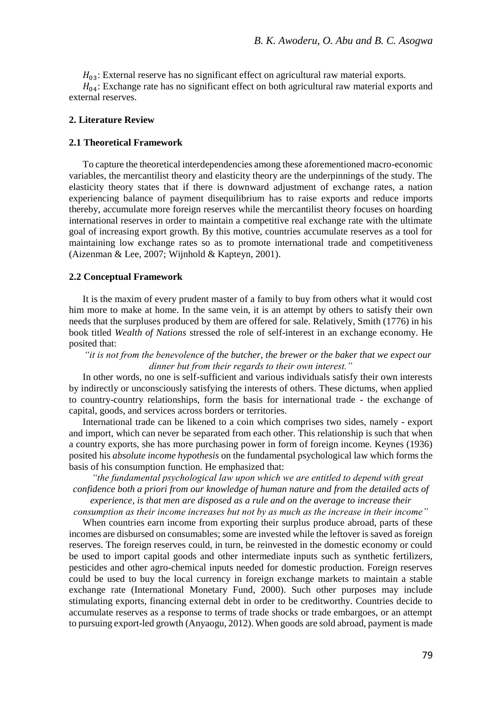$H_{03}$ : External reserve has no significant effect on agricultural raw material exports.

 $H_{04}$ : Exchange rate has no significant effect on both agricultural raw material exports and external reserves.

## **2. Literature Review**

### **2.1 Theoretical Framework**

To capture the theoretical interdependencies among these aforementioned macro-economic variables, the mercantilist theory and elasticity theory are the underpinnings of the study. The elasticity theory states that if there is downward adjustment of exchange rates, a nation experiencing balance of payment disequilibrium has to raise exports and reduce imports thereby, accumulate more foreign reserves while the mercantilist theory focuses on hoarding international reserves in order to maintain a competitive real exchange rate with the ultimate goal of increasing export growth. By this motive, countries accumulate reserves as a tool for maintaining low exchange rates so as to promote international trade and competitiveness (Aizenman & Lee, 2007; Wijnhold & Kapteyn, 2001).

#### **2.2 Conceptual Framework**

It is the maxim of every prudent master of a family to buy from others what it would cost him more to make at home. In the same vein, it is an attempt by others to satisfy their own needs that the surpluses produced by them are offered for sale. Relatively, Smith (1776) in his book titled *Wealth of Nations* stressed the role of self-interest in an exchange economy. He posited that:

*"it is not from the benevolence of the butcher, the brewer or the baker that we expect our dinner but from their regards to their own interest."*

In other words, no one is self-sufficient and various individuals satisfy their own interests by indirectly or unconsciously satisfying the interests of others. These dictums, when applied to country-country relationships, form the basis for international trade - the exchange of capital, goods, and services across borders or territories.

International trade can be likened to a coin which comprises two sides, namely - export and import, which can never be separated from each other. This relationship is such that when a country exports, she has more purchasing power in form of foreign income. Keynes (1936) posited his *absolute income hypothesis* on the fundamental psychological law which forms the basis of his consumption function. He emphasized that:

*"the fundamental psychological law upon which we are entitled to depend with great confidence both a priori from our knowledge of human nature and from the detailed acts of experience, is that men are disposed as a rule and on the average to increase their* 

*consumption as their income increases but not by as much as the increase in their income"*

When countries earn income from exporting their surplus produce abroad, parts of these incomes are disbursed on consumables; some are invested while the leftover is saved as foreign reserves. The foreign reserves could, in turn, be reinvested in the domestic economy or could be used to import capital goods and other intermediate inputs such as synthetic fertilizers, pesticides and other agro-chemical inputs needed for domestic production. Foreign reserves could be used to buy the local currency in foreign exchange markets to maintain a stable exchange rate (International Monetary Fund, 2000). Such other purposes may include stimulating exports, financing external debt in order to be creditworthy. Countries decide to accumulate reserves as a response to terms of trade shocks or trade embargoes, or an attempt to pursuing export-led growth (Anyaogu, 2012). When goods are sold abroad, payment is made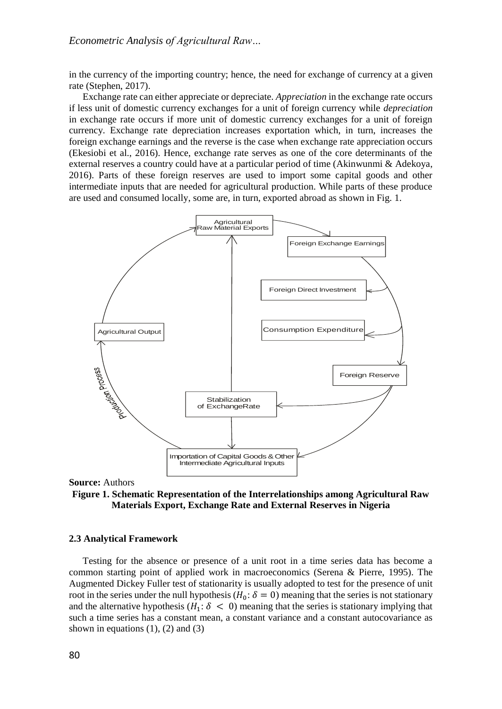in the currency of the importing country; hence, the need for exchange of currency at a given rate (Stephen, 2017).

Exchange rate can either appreciate or depreciate. *Appreciation* in the exchange rate occurs if less unit of domestic currency exchanges for a unit of foreign currency while *depreciation* in exchange rate occurs if more unit of domestic currency exchanges for a unit of foreign currency. Exchange rate depreciation increases exportation which, in turn, increases the foreign exchange earnings and the reverse is the case when exchange rate appreciation occurs (Ekesiobi et al., 2016). Hence, exchange rate serves as one of the core determinants of the external reserves a country could have at a particular period of time (Akinwunmi & Adekoya, 2016). Parts of these foreign reserves are used to import some capital goods and other intermediate inputs that are needed for agricultural production. While parts of these produce are used and consumed locally, some are, in turn, exported abroad as shown in Fig. 1.



**Source:** Authors

**Figure 1. Schematic Representation of the Interrelationships among Agricultural Raw Materials Export, Exchange Rate and External Reserves in Nigeria**

#### **2.3 Analytical Framework**

Testing for the absence or presence of a unit root in a time series data has become a common starting point of applied work in macroeconomics (Serena & Pierre, 1995). The Augmented Dickey Fuller test of stationarity is usually adopted to test for the presence of unit root in the series under the null hypothesis ( $H_0$ :  $\delta = 0$ ) meaning that the series is not stationary and the alternative hypothesis ( $H_1$ :  $\delta$  < 0) meaning that the series is stationary implying that such a time series has a constant mean, a constant variance and a constant autocovariance as shown in equations  $(1)$ ,  $(2)$  and  $(3)$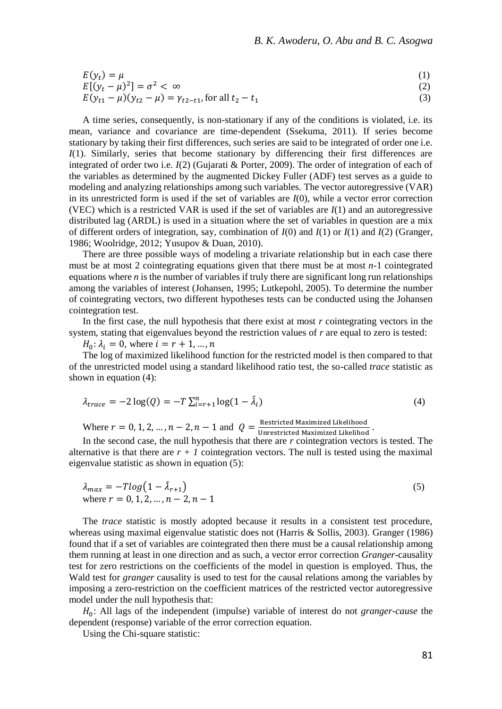$$
E(yt) = \mu
$$
  
\n
$$
E[(yt - \mu)2] = \sigma2 < \infty
$$
 (1)

$$
E[(y_t - \mu)^2] = \sigma^2 < \infty
$$
  
\n
$$
E(y_{t1} - \mu)(y_{t2} - \mu) = \gamma_{t2 - t1}
$$
, for all  $t_2 - t_1$  (3)

A time series, consequently, is non-stationary if any of the conditions is violated, i.e. its mean, variance and covariance are time-dependent (Ssekuma, 2011). If series become stationary by taking their first differences, such series are said to be integrated of order one i.e. *I*(1). Similarly, series that become stationary by differencing their first differences are integrated of order two i.e. *I*(2) (Gujarati & Porter, 2009). The order of integration of each of the variables as determined by the augmented Dickey Fuller (ADF) test serves as a guide to modeling and analyzing relationships among such variables. The vector autoregressive (VAR) in its unrestricted form is used if the set of variables are *I*(0), while a vector error correction (VEC) which is a restricted VAR is used if the set of variables are *I*(1) and an autoregressive distributed lag (ARDL) is used in a situation where the set of variables in question are a mix of different orders of integration, say, combination of *I*(0) and *I*(1) or *I*(1) and *I*(2) (Granger, 1986; Woolridge, 2012; Yusupov & Duan, 2010).

There are three possible ways of modeling a trivariate relationship but in each case there must be at most 2 cointegrating equations given that there must be at most *n*-1 cointegrated equations where  $n$  is the number of variables if truly there are significant long run relationships among the variables of interest (Johansen, 1995; Lutkepohl, 2005). To determine the number of cointegrating vectors, two different hypotheses tests can be conducted using the Johansen cointegration test.

In the first case, the null hypothesis that there exist at most *r* cointegrating vectors in the system, stating that eigenvalues beyond the restriction values of *r* are equal to zero is tested:

 $H_0: \lambda_i = 0$ , where  $i = r + 1, ..., n$ 

The log of maximized likelihood function for the restricted model is then compared to that of the unrestricted model using a standard likelihood ratio test, the so-called *trace* statistic as shown in equation (4):

$$
\lambda_{trace} = -2\log(Q) = -T\sum_{i=r+1}^{n} \log(1 - \hat{\lambda}_i)
$$
\n(4)

Where  $r = 0, 1, 2, ..., n - 2, n - 1$  and  $Q = \frac{\text{Restricted Maximized Likelihood}}{\text{Unrestricted Maximized Likelihood}}$ Unrestricted Maximized Likelihod .

In the second case, the null hypothesis that there are *r* cointegration vectors is tested. The alternative is that there are  $r + 1$  cointegration vectors. The null is tested using the maximal eigenvalue statistic as shown in equation (5):

$$
\lambda_{max} = -T \log(1 - \hat{\lambda}_{r+1})
$$
  
where  $r = 0, 1, 2, ..., n - 2, n - 1$  (5)

The *trace* statistic is mostly adopted because it results in a consistent test procedure, whereas using maximal eigenvalue statistic does not (Harris & Sollis, 2003). Granger (1986) found that if a set of variables are cointegrated then there must be a causal relationship among them running at least in one direction and as such, a vector error correction *Granger*-causality test for zero restrictions on the coefficients of the model in question is employed. Thus, the Wald test for *granger* causality is used to test for the causal relations among the variables by imposing a zero-restriction on the coefficient matrices of the restricted vector autoregressive model under the null hypothesis that:

0 : All lags of the independent (impulse) variable of interest do not *granger*-*cause* the dependent (response) variable of the error correction equation.

Using the Chi-square statistic: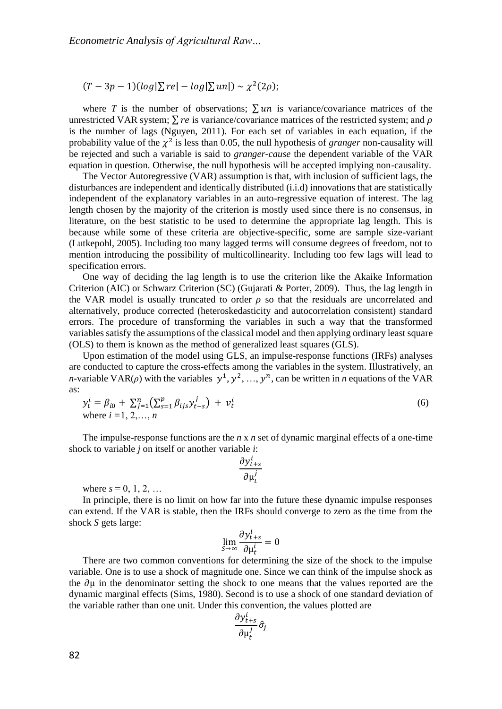$(T-3p-1)(log|\Sigma re|-log|\Sigma un|) \sim \chi^2(2\rho);$ 

where *T* is the number of observations;  $\sum$  *un* is variance/covariance matrices of the unrestricted VAR system;  $\Sigma$  *re* is variance/covariance matrices of the restricted system; and  $\rho$ is the number of lags (Nguyen, 2011). For each set of variables in each equation, if the probability value of the  $\chi^2$  is less than 0.05, the null hypothesis of *granger* non-causality will be rejected and such a variable is said to *granger-cause* the dependent variable of the VAR equation in question. Otherwise, the null hypothesis will be accepted implying non-causality.

The Vector Autoregressive (VAR) assumption is that, with inclusion of sufficient lags, the disturbances are independent and identically distributed (i.i.d) innovations that are statistically independent of the explanatory variables in an auto-regressive equation of interest. The lag length chosen by the majority of the criterion is mostly used since there is no consensus, in literature, on the best statistic to be used to determine the appropriate lag length. This is because while some of these criteria are objective-specific, some are sample size-variant (Lutkepohl, 2005). Including too many lagged terms will consume degrees of freedom, not to mention introducing the possibility of multicollinearity. Including too few lags will lead to specification errors.

One way of deciding the lag length is to use the criterion like the Akaike Information Criterion (AIC) or Schwarz Criterion (SC) (Gujarati & Porter, 2009). Thus, the lag length in the VAR model is usually truncated to order  $\rho$  so that the residuals are uncorrelated and alternatively, produce corrected (heteroskedasticity and autocorrelation consistent) standard errors. The procedure of transforming the variables in such a way that the transformed variables satisfy the assumptions of the classical model and then applying ordinary least square (OLS) to them is known as the method of generalized least squares (GLS).

Upon estimation of the model using GLS, an impulse-response functions (IRFs) analyses are conducted to capture the cross-effects among the variables in the system. Illustratively, an *n*-variable VAR( $\rho$ ) with the variables  $y^1, y^2, ..., y^n$ , can be written in *n* equations of the VAR as:

$$
y_t^i = \beta_{i0} + \sum_{j=1}^n (\sum_{s=1}^p \beta_{ijs} y_{t-s}^j) + v_t^i
$$
  
where  $i = 1, 2, ..., n$  (6)

The impulse-response functions are the *n* x *n* set of dynamic marginal effects of a one-time shock to variable *j* on itself or another variable *i*:

$$
\frac{\partial y_{t+s}^i}{\partial \mu_t^j}
$$

where  $s = 0, 1, 2, ...$ 

In principle, there is no limit on how far into the future these dynamic impulse responses can extend. If the VAR is stable, then the IRFs should converge to zero as the time from the shock *S* gets large:

$$
\lim_{s \to \infty} \frac{\partial y_{t+s}^i}{\partial \mu_t^i} = 0
$$

There are two common conventions for determining the size of the shock to the impulse variable. One is to use a shock of magnitude one. Since we can think of the impulse shock as the  $\partial \mu$  in the denominator setting the shock to one means that the values reported are the dynamic marginal effects (Sims, 1980). Second is to use a shock of one standard deviation of the variable rather than one unit. Under this convention, the values plotted are

$$
\frac{\partial y_{t+s}^i}{\partial \mu_t^j} \hat{\sigma}_j
$$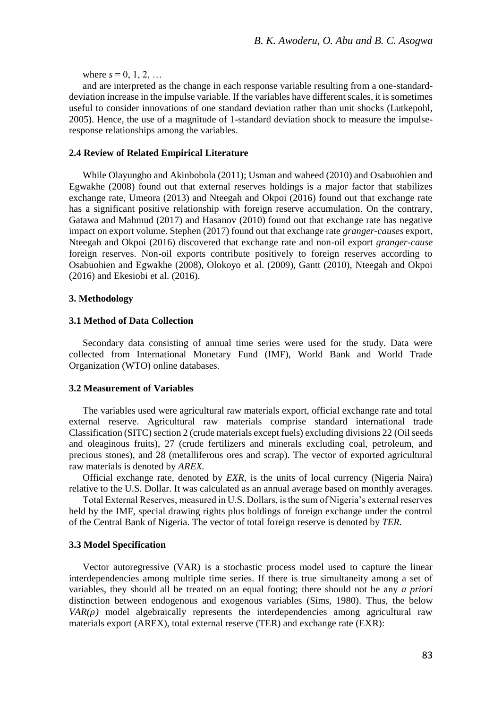where  $s = 0, 1, 2, ...$ 

and are interpreted as the change in each response variable resulting from a one-standarddeviation increase in the impulse variable. If the variables have different scales, it is sometimes useful to consider innovations of one standard deviation rather than unit shocks (Lutkepohl, 2005). Hence, the use of a magnitude of 1-standard deviation shock to measure the impulseresponse relationships among the variables.

#### **2.4 Review of Related Empirical Literature**

While Olayungbo and Akinbobola (2011); Usman and waheed (2010) and Osabuohien and Egwakhe (2008) found out that external reserves holdings is a major factor that stabilizes exchange rate, Umeora (2013) and Nteegah and Okpoi (2016) found out that exchange rate has a significant positive relationship with foreign reserve accumulation. On the contrary, Gatawa and Mahmud (2017) and Hasanov (2010) found out that exchange rate has negative impact on export volume. Stephen (2017) found out that exchange rate *granger-causes* export, Nteegah and Okpoi (2016) discovered that exchange rate and non-oil export *granger-cause* foreign reserves. Non-oil exports contribute positively to foreign reserves according to Osabuohien and Egwakhe (2008), Olokoyo et al. (2009), Gantt (2010), Nteegah and Okpoi (2016) and Ekesiobi et al. (2016).

#### **3. Methodology**

#### **3.1 Method of Data Collection**

Secondary data consisting of annual time series were used for the study. Data were collected from International Monetary Fund (IMF), World Bank and World Trade Organization (WTO) online databases.

### **3.2 Measurement of Variables**

The variables used were agricultural raw materials export, official exchange rate and total external reserve. Agricultural raw materials comprise standard international trade Classification (SITC) section 2 (crude materials except fuels) excluding divisions 22 (Oil seeds and oleaginous fruits), 27 (crude fertilizers and minerals excluding coal, petroleum, and precious stones), and 28 (metalliferous ores and scrap). The vector of exported agricultural raw materials is denoted by *AREX.*

Official exchange rate, denoted by *EXR,* is the units of local currency (Nigeria Naira) relative to the U.S. Dollar. It was calculated as an annual average based on monthly averages.

Total External Reserves, measured in U.S. Dollars, is the sum of Nigeria's external reserves held by the IMF, special drawing rights plus holdings of foreign exchange under the control of the Central Bank of Nigeria. The vector of total foreign reserve is denoted by *TER.*

## **3.3 Model Specification**

Vector autoregressive (VAR) is a stochastic process model used to capture the linear interdependencies among multiple time series. If there is true simultaneity among a set of variables, they should all be treated on an equal footing; there should not be any *a priori* distinction between endogenous and exogenous variables (Sims, 1980). Thus, the below  $VAR(\rho)$  model algebraically represents the interdependencies among agricultural raw materials export (AREX), total external reserve (TER) and exchange rate (EXR):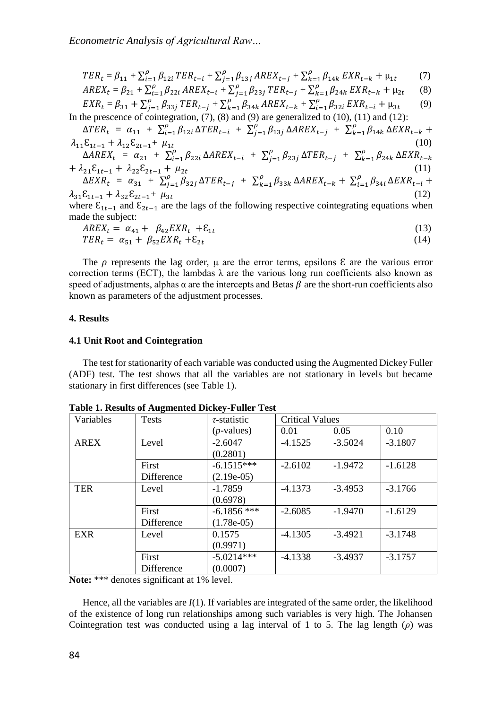$$
TER_t = \beta_{11} + \sum_{i=1}^{p} \beta_{12i} TER_{t-i} + \sum_{j=1}^{p} \beta_{13j} AREX_{t-j} + \sum_{k=1}^{p} \beta_{14k} EXR_{t-k} + \mu_{1t}
$$
 (7)

$$
AREX_t = \beta_{21} + \sum_{i=1}^{p} \beta_{22i} \, AREX_{t-i} + \sum_{j=1}^{p} \beta_{23j} \, TER_{t-j} + \sum_{k=1}^{p} \beta_{24k} \, EXR_{t-k} + \mu_{2t} \tag{8}
$$

$$
EXR_t = \beta_{31} + \sum_{j=1}^{\rho} \beta_{33j} \, TER_{t-j} + \sum_{k=1}^{\rho} \beta_{34k} \, AREX_{t-k} + \sum_{i=1}^{\rho} \beta_{32i} \, EXR_{t-i} + \mu_{3t} \tag{9}
$$
\nIn the presence of cointegration, (7), (8) and (9) are generalized to (10), (11) and (12):

$$
\Delta TER_t = \alpha_{11} + \sum_{i=1}^{\rho} \beta_{12i} \Delta TER_{t-i} + \sum_{j=1}^{\rho} \beta_{13j} \Delta AREX_{t-j} + \sum_{k=1}^{\rho} \beta_{14k} \Delta EXR_{t-k} + \lambda_{11} \varepsilon_{1t-1} + \lambda_{12} \varepsilon_{2t-1} + \mu_{1t} \tag{10}
$$
\n
$$
\Delta AREX_t = \alpha_{21} + \sum_{i=1}^{\rho} \beta_{22i} \Delta AREX_{t-i} + \sum_{j=1}^{\rho} \beta_{23j} \Delta TER_{t-j} + \sum_{k=1}^{\rho} \beta_{24k} \Delta EXR_{t-k} + \lambda_{21} \varepsilon_{1t-1} + \lambda_{22} \varepsilon_{2t-1} + \mu_{2t} \tag{11}
$$
\n
$$
\Delta EXR_t = \alpha_{31} + \sum_{j=1}^{\rho} \beta_{32j} \Delta TER_{t-j} + \sum_{k=1}^{\rho} \beta_{33k} \Delta AREX_{t-k} + \sum_{i=1}^{\rho} \beta_{34i} \Delta EXR_{t-i} + \lambda_{31} \varepsilon_{1t-1} + \lambda_{32} \varepsilon_{2t-1} + \mu_{3t} \tag{12}
$$
\nwhere  $\varepsilon_{1t-1}$  and  $\varepsilon_{2t-1}$  are the lags of the following respective cointegrating equations when made the subject:

$$
AREX_t = \alpha_{41} + \beta_{42}EXR_t + \varepsilon_{1t} \tag{13}
$$

$$
TER_t = \alpha_{51} + \beta_{52} EXR_t + \varepsilon_{2t} \tag{14}
$$

The  $\rho$  represents the lag order,  $\mu$  are the error terms, epsilons  $\epsilon$  are the various error correction terms (ECT), the lambdas  $\lambda$  are the various long run coefficients also known as speed of adjustments, alphas  $\alpha$  are the intercepts and Betas  $\beta$  are the short-run coefficients also known as parameters of the adjustment processes.

### **4. Results**

#### **4.1 Unit Root and Cointegration**

The test for stationarity of each variable was conducted using the Augmented Dickey Fuller (ADF) test. The test shows that all the variables are not stationary in levels but became stationary in first differences (see Table 1).

| Variables   | <b>Tests</b> | $\tau$ -statistic | <b>Critical Values</b> |           |           |
|-------------|--------------|-------------------|------------------------|-----------|-----------|
|             |              | $(p$ -values)     | 0.01                   | 0.05      | 0.10      |
| <b>AREX</b> | Level        | $-2.6047$         | $-4.1525$              | $-3.5024$ | $-3.1807$ |
|             |              | (0.2801)          |                        |           |           |
|             | First        | $-6.1515***$      | $-2.6102$              | $-1.9472$ | $-1.6128$ |
|             | Difference   | $(2.19e-05)$      |                        |           |           |
| <b>TER</b>  | Level        | $-1.7859$         | $-4.1373$              | $-3.4953$ | $-3.1766$ |
|             |              | (0.6978)          |                        |           |           |
|             | First        | $-6.1856$ ***     | $-2.6085$              | $-1.9470$ | $-1.6129$ |
|             | Difference   | $(1.78e-05)$      |                        |           |           |
| <b>EXR</b>  | Level        | 0.1575            | $-4.1305$              | $-3.4921$ | $-3.1748$ |
|             |              | (0.9971)          |                        |           |           |
|             | First        | $-5.0214***$      | $-4.1338$              | $-3.4937$ | $-3.1757$ |
|             | Difference   | (0.0007)          |                        |           |           |

**Table 1. Results of Augmented Dickey-Fuller Test**

Note: \*\*\* denotes significant at 1% level.

Hence, all the variables are *I*(1). If variables are integrated of the same order, the likelihood of the existence of long run relationships among such variables is very high. The Johansen Cointegration test was conducted using a lag interval of 1 to 5. The lag length (*ρ*) was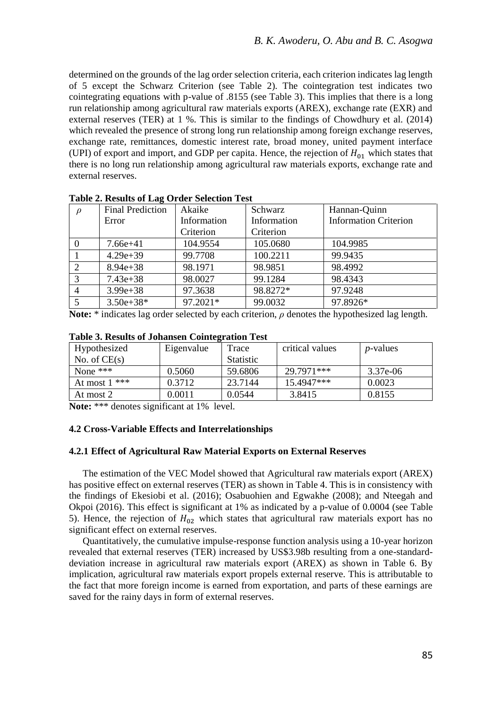determined on the grounds of the lag order selection criteria, each criterion indicates lag length of 5 except the Schwarz Criterion (see Table 2). The cointegration test indicates two cointegrating equations with p-value of .8155 (see Table 3). This implies that there is a long run relationship among agricultural raw materials exports (AREX), exchange rate (EXR) and external reserves (TER) at 1 %. This is similar to the findings of Chowdhury et al. (2014) which revealed the presence of strong long run relationship among foreign exchange reserves, exchange rate, remittances, domestic interest rate, broad money, united payment interface (UPI) of export and import, and GDP per capita. Hence, the rejection of  $H_{01}$  which states that there is no long run relationship among agricultural raw materials exports, exchange rate and external reserves.

| $\rho$   | <b>Final Prediction</b> | Akaike      | Schwarz     | Hannan-Ouinn                 |
|----------|-------------------------|-------------|-------------|------------------------------|
|          | Error                   | Information | Information | <b>Information Criterion</b> |
|          |                         | Criterion   | Criterion   |                              |
| $\Omega$ | $7.66e+41$              | 104.9554    | 105.0680    | 104.9985                     |
|          | $4.29e + 39$            | 99.7708     | 100.2211    | 99.9435                      |
| 2        | $8.94e + 38$            | 98.1971     | 98.9851     | 98.4992                      |
| 3        | $7.43e + 38$            | 98.0027     | 99.1284     | 98.4343                      |
| 4        | $3.99e + 38$            | 97.3638     | 98.8272*    | 97.9248                      |
|          | $3.50e + 38*$           | 97.2021*    | 99.0032     | 97.8926*                     |

|  |  |  |  | <b>Table 2. Results of Lag Order Selection Test</b> |  |
|--|--|--|--|-----------------------------------------------------|--|
|--|--|--|--|-----------------------------------------------------|--|

**Note:** \* indicates lag order selected by each criterion, *ρ* denotes the hypothesized lag length.

| TANIL DI TIDAMIN JI U QIIMINJI OJIHIVLI MUJIL TUDI |            |                  |                 |                  |
|----------------------------------------------------|------------|------------------|-----------------|------------------|
| Hypothesized                                       | Eigenvalue | Trace            | critical values | <i>p</i> -values |
| No. of $CE(s)$                                     |            | <b>Statistic</b> |                 |                  |
| None $***$                                         | 0.5060     | 59.6806          | 29.7971***      | 3.37e-06         |
| At most $1$ ***                                    | 0.3712     | 23.7144          | 15.4947***      | 0.0023           |
| At most 2                                          | 0.0011     | 0.0544           | 3.8415          | 0.8155           |

### **Table 3. Results of Johansen Cointegration Test**

**Note:** \*\*\* denotes significant at 1% level.

## **4.2 Cross-Variable Effects and Interrelationships**

## **4.2.1 Effect of Agricultural Raw Material Exports on External Reserves**

The estimation of the VEC Model showed that Agricultural raw materials export (AREX) has positive effect on external reserves (TER) as shown in Table 4. This is in consistency with the findings of Ekesiobi et al. (2016); Osabuohien and Egwakhe (2008); and Nteegah and Okpoi (2016). This effect is significant at 1% as indicated by a p-value of 0.0004 (see Table 5). Hence, the rejection of  $H_{02}$  which states that agricultural raw materials export has no significant effect on external reserves.

Quantitatively, the cumulative impulse-response function analysis using a 10-year horizon revealed that external reserves (TER) increased by US\$3.98b resulting from a one-standarddeviation increase in agricultural raw materials export (AREX) as shown in Table 6. By implication, agricultural raw materials export propels external reserve. This is attributable to the fact that more foreign income is earned from exportation, and parts of these earnings are saved for the rainy days in form of external reserves.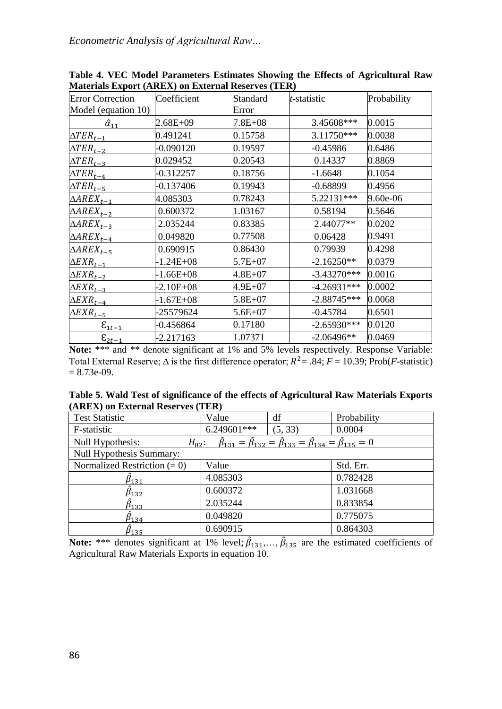| <b>Error Correction</b>                    | Coefficient   | Standard    | t-statistic   | Probability |
|--------------------------------------------|---------------|-------------|---------------|-------------|
| Model (equation 10)                        |               | Error       |               |             |
| $\hat{\alpha}_{11}$                        | $2.68E + 09$  | $7.8E + 08$ | 3.45608***    | 0.0015      |
| $\triangle TER_{t-1}$                      | 0.491241      | 0.15758     | 3.11750***    | 0.0038      |
| $\triangle TER_{t-2}$                      | $-0.090120$   | 0.19597     | $-0.45986$    | 0.6486      |
| $\triangle TER_{t-3}$                      | 0.029452      | 0.20543     | 0.14337       | 0.8869      |
| $\triangle TER_{t-4}$                      | $-0.312257$   | 0.18756     | $-1.6648$     | 0.1054      |
| $\Delta TER_{t-5}$                         | $-0.137406$   | 0.19943     | $-0.68899$    | 0.4956      |
| $\triangle AREX_{t-1}$                     | 4.085303      | 0.78243     | 5.22131***    | 9.60e-06    |
| $\triangle AREX_{t-2}$                     | 0.600372      | 1.03167     | 0.58194       | 0.5646      |
| $\triangle AREX_{t-3}$                     | 2.035244      | 0.83385     | 2.44077**     | 0.0202      |
| $\triangle AREX_{t-4}$                     | 0.049820      | 0.77508     | 0.06428       | 0.9491      |
| $\triangle AREX_{t-5}$                     | 0.690915      | 0.86430     | 0.79939       | 0.4298      |
| $\triangle EXP_{t-1}$                      | $-1.24E + 08$ | $5.7E+07$   | $-2.16250**$  | 0.0379      |
| $\triangle EXP_{t-2}$                      | $-1.66E + 08$ | $4.8E + 07$ | $-3.43270***$ | 0.0016      |
| $\triangle EXP_{t-3}$                      | $-2.10E + 08$ | 4.9E+07     | $-4.26931***$ | 0.0002      |
| $\triangle EXP_{t-4}$                      | $-1.67E + 08$ | $5.8E + 07$ | $-2.88745***$ | 0.0068      |
| $\triangle EXP_{t-5}$                      | -25579624     | $5.6E+07$   | $-0.45784$    | 0.6501      |
| $\boldsymbol{\epsilon}_{\underline{1}t-1}$ | $-0.456864$   | 0.17180     | $-2.65930***$ | 0.0120      |
| $\epsilon_{2t-1}$                          | $-2.217163$   | 1.07371     | $-2.06496**$  | 0.0469      |

**Table 4. VEC Model Parameters Estimates Showing the Effects of Agricultural Raw Materials Export (AREX) on External Reserves (TER)**

**Note:** \*\*\* and \*\* denote significant at 1% and 5% levels respectively. Response Variable: Total External Reserve;  $\Delta$  is the first difference operator;  $R^2 = .84$ ;  $F = 10.39$ ; Prob(*F*-statistic)  $= 8.73e-0.9.$ 

|  |                                   | Table 5. Wald Test of significance of the effects of Agricultural Raw Materials Exports |  |  |
|--|-----------------------------------|-----------------------------------------------------------------------------------------|--|--|
|  | (AREX) on External Reserves (TER) |                                                                                         |  |  |

| <b>Test Statistic</b>          | Value       | df                                                                                                      | Probability |
|--------------------------------|-------------|---------------------------------------------------------------------------------------------------------|-------------|
| F-statistic                    | 6.249601*** | (5, 33)                                                                                                 | 0.0004      |
| Null Hypothesis:<br>$H_{02}$ : |             | $\hat{\beta}_{131} = \hat{\beta}_{132} = \hat{\beta}_{133} = \hat{\beta}_{134} = \hat{\beta}_{135} = 0$ |             |
| Null Hypothesis Summary:       |             |                                                                                                         |             |
| Normalized Restriction $(= 0)$ | Value       |                                                                                                         | Std. Err.   |
| $\hat{\beta}_{131}$            | 4.085303    |                                                                                                         | 0.782428    |
| $\beta_{132}$                  | 0.600372    |                                                                                                         | 1.031668    |
| $\ddot\beta_{133}$             | 2.035244    |                                                                                                         | 0.833854    |
| $\beta_{134}$                  | 0.049820    |                                                                                                         | 0.775075    |
| $\beta_{135}$                  | 0.690915    |                                                                                                         | 0.864303    |

**Note:** \*\*\* denotes significant at 1% level;  $\hat{\beta}_{131},...,\hat{\beta}_{135}$  are the estimated coefficients of Agricultural Raw Materials Exports in equation 10.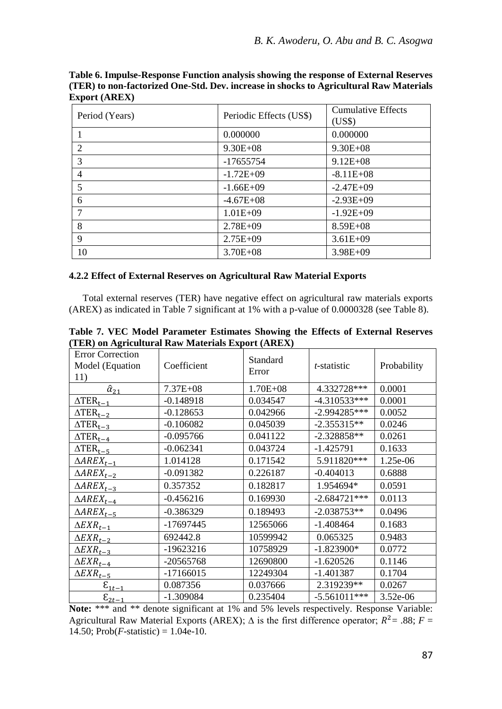| Period (Years) | Periodic Effects (US\$) | <b>Cumulative Effects</b><br>(US\$) |
|----------------|-------------------------|-------------------------------------|
|                | 0.000000                | 0.000000                            |
| $\overline{c}$ | $9.30E + 08$            | $9.30E + 08$                        |
| 3              | $-17655754$             | $9.12E + 08$                        |
| 4              | $-1.72E+09$             | $-8.11E+08$                         |
| 5              | $-1.66E + 09$           | $-2.47E+09$                         |
| 6              | $-4.67E+08$             | $-2.93E+09$                         |
| 7              | $1.01E + 09$            | $-1.92E+09$                         |
| 8              | $2.78E + 09$            | $8.59E + 08$                        |
| 9              | $2.75E+09$              | $3.61E + 09$                        |
| 10             | $3.70E + 08$            | $3.98E + 09$                        |

**Table 6. Impulse-Response Function analysis showing the response of External Reserves (TER) to non-factorized One-Std. Dev. increase in shocks to Agricultural Raw Materials Export (AREX)**

## **4.2.2 Effect of External Reserves on Agricultural Raw Material Exports**

Total external reserves (TER) have negative effect on agricultural raw materials exports (AREX) as indicated in Table 7 significant at 1% with a p-value of 0.0000328 (see Table 8).

|              | $\cdots$ $\cdots$ |                     |             |
|--------------|-------------------|---------------------|-------------|
| Coefficient  | Standard<br>Error | <i>t</i> -statistic | Probability |
| $7.37E + 08$ | $1.70E + 08$      | 4.332728***         | 0.0001      |
| $-0.148918$  | 0.034547          | $-4.310533***$      | 0.0001      |
| $-0.128653$  | 0.042966          | $-2.994285***$      | 0.0052      |
| $-0.106082$  | 0.045039          | $-2.355315**$       | 0.0246      |
| $-0.095766$  | 0.041122          | $-2.328858**$       | 0.0261      |
| $-0.062341$  | 0.043724          | $-1.425791$         | 0.1633      |
| 1.014128     | 0.171542          | 5.911820***         | 1.25e-06    |
| $-0.091382$  | 0.226187          | $-0.404013$         | 0.6888      |
| 0.357352     | 0.182817          | 1.954694*           | 0.0591      |
| $-0.456216$  | 0.169930          | $-2.684721***$      | 0.0113      |
| $-0.386329$  | 0.189493          | $-2.038753**$       | 0.0496      |
| $-17697445$  | 12565066          | $-1.408464$         | 0.1683      |
| 692442.8     | 10599942          | 0.065325            | 0.9483      |
| -19623216    | 10758929          | $-1.823900*$        | 0.0772      |
| -20565768    | 12690800          | $-1.620526$         | 0.1146      |
| $-17166015$  | 12249304          | $-1.401387$         | 0.1704      |
| 0.087356     | 0.037666          | 2.319239**          | 0.0267      |
| -1.309084    | 0.235404          | $-5.561011***$      | $3.52e-06$  |
|              |                   |                     |             |

**Table 7. VEC Model Parameter Estimates Showing the Effects of External Reserves (TER) on Agricultural Raw Materials Export (AREX)**

Note: \*\*\* and \*\* denote significant at 1% and 5% levels respectively. Response Variable: Agricultural Raw Material Exports (AREX);  $\Delta$  is the first difference operator;  $R^2 = .88$ ;  $F =$ 14.50; Prob(*F*-statistic) =  $1.04e-10$ .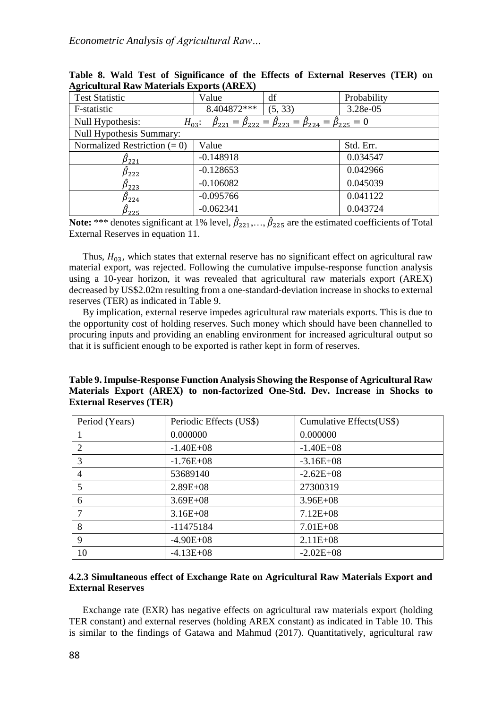| <b>Test Statistic</b>          | Value       | df                                                                                                                 | Probability |
|--------------------------------|-------------|--------------------------------------------------------------------------------------------------------------------|-------------|
| F-statistic                    | 8.404872*** | (5, 33)                                                                                                            | 3.28e-05    |
| Null Hypothesis:               |             | $H_{03}$ : $\hat{\beta}_{221} = \hat{\beta}_{222} = \hat{\beta}_{223} = \hat{\beta}_{224} = \hat{\beta}_{225} = 0$ |             |
| Null Hypothesis Summary:       |             |                                                                                                                    |             |
| Normalized Restriction $(= 0)$ | Value       |                                                                                                                    | Std. Err.   |
| $\hat{\beta}_{221}$            | $-0.148918$ |                                                                                                                    | 0.034547    |
| $\beta_{222}$                  | $-0.128653$ |                                                                                                                    | 0.042966    |
| $\beta_{223}$                  | $-0.106082$ |                                                                                                                    | 0.045039    |
| $\ddot\beta_{224}$             | $-0.095766$ |                                                                                                                    | 0.041122    |
| $\beta_{225}$                  | $-0.062341$ |                                                                                                                    | 0.043724    |

**Table 8. Wald Test of Significance of the Effects of External Reserves (TER) on Agricultural Raw Materials Exports (AREX)**

**Note:** \*\*\* denotes significant at 1% level,  $\hat{\beta}_{221},...,\hat{\beta}_{225}$  are the estimated coefficients of Total External Reserves in equation 11.

Thus,  $H_{03}$ , which states that external reserve has no significant effect on agricultural raw material export, was rejected. Following the cumulative impulse-response function analysis using a 10-year horizon, it was revealed that agricultural raw materials export (AREX) decreased by US\$2.02m resulting from a one-standard-deviation increase in shocks to external reserves (TER) as indicated in Table 9.

By implication, external reserve impedes agricultural raw materials exports. This is due to the opportunity cost of holding reserves. Such money which should have been channelled to procuring inputs and providing an enabling environment for increased agricultural output so that it is sufficient enough to be exported is rather kept in form of reserves.

**Table 9. Impulse-Response Function Analysis Showing the Response of Agricultural Raw Materials Export (AREX) to non-factorized One-Std. Dev. Increase in Shocks to External Reserves (TER)**

| Period (Years)              | Periodic Effects (US\$) | Cumulative Effects(US\$) |
|-----------------------------|-------------------------|--------------------------|
|                             | 0.000000                | 0.000000                 |
| $\mathcal{D}_{\mathcal{L}}$ | $-1.40E + 08$           | $-1.40E + 08$            |
| 3                           | $-1.76E+08$             | $-3.16E+08$              |
| $\overline{4}$              | 53689140                | $-2.62E+08$              |
| 5                           | $2.89E + 08$            | 27300319                 |
| 6                           | $3.69E + 08$            | $3.96E + 08$             |
|                             | $3.16E + 08$            | $7.12E + 08$             |
| 8                           | $-11475184$             | $7.01E + 08$             |
| $\mathbf Q$                 | $-4.90E+08$             | $2.11E + 08$             |
| 10                          | $-4.13E+08$             | $-2.02E + 08$            |

## **4.2.3 Simultaneous effect of Exchange Rate on Agricultural Raw Materials Export and External Reserves**

Exchange rate (EXR) has negative effects on agricultural raw materials export (holding TER constant) and external reserves (holding AREX constant) as indicated in Table 10. This is similar to the findings of Gatawa and Mahmud (2017). Quantitatively, agricultural raw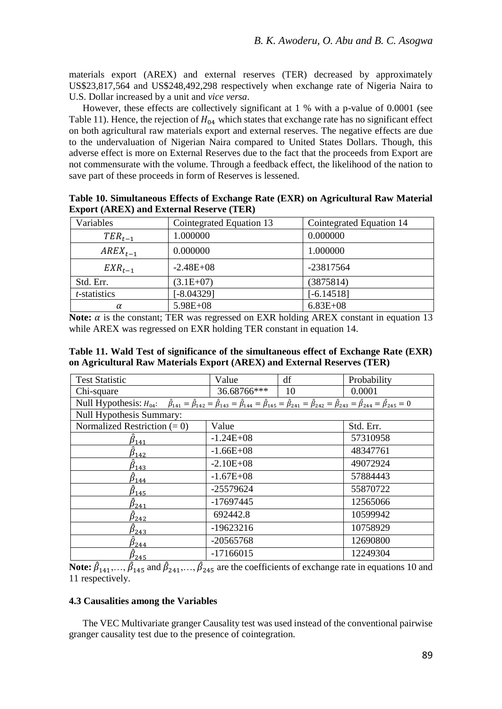materials export (AREX) and external reserves (TER) decreased by approximately US\$23,817,564 and US\$248,492,298 respectively when exchange rate of Nigeria Naira to U.S. Dollar increased by a unit and *vice versa*.

However, these effects are collectively significant at 1 % with a p-value of 0.0001 (see Table 11). Hence, the rejection of  $H_{04}$  which states that exchange rate has no significant effect on both agricultural raw materials export and external reserves. The negative effects are due to the undervaluation of Nigerian Naira compared to United States Dollars. Though, this adverse effect is more on External Reserves due to the fact that the proceeds from Export are not commensurate with the volume. Through a feedback effect, the likelihood of the nation to save part of these proceeds in form of Reserves is lessened.

|                      | $\frac{1}{2}$            |                          |
|----------------------|--------------------------|--------------------------|
| Variables            | Cointegrated Equation 13 | Cointegrated Equation 14 |
| $TER_{t-1}$          | 1.000000                 | 0.000000                 |
| $AREX_{t-1}$         | 0.000000                 | 1.000000                 |
| $EXR_{t-1}$          | $-2.48E+08$              | -23817564                |
| Std. Err.            | $(3.1E+07)$              | (3875814)                |
| <i>t</i> -statistics | $[-8.04329]$             | $[-6.14518]$             |
| α                    | 5.98E+08                 | $6.83E + 08$             |

**Table 10. Simultaneous Effects of Exchange Rate (EXR) on Agricultural Raw Material Export (AREX) and External Reserve (TER)**

**Note:**  $\alpha$  is the constant; TER was regressed on EXR holding AREX constant in equation 13 while AREX was regressed on EXR holding TER constant in equation 14.

**Table 11. Wald Test of significance of the simultaneous effect of Exchange Rate (EXR) on Agricultural Raw Materials Export (AREX) and External Reserves (TER)**

| <b>Test Statistic</b>                                                                                                                                                                                                                   | Value         | df        | Probability |  |  |  |  |
|-----------------------------------------------------------------------------------------------------------------------------------------------------------------------------------------------------------------------------------------|---------------|-----------|-------------|--|--|--|--|
| Chi-square                                                                                                                                                                                                                              | 36.68766***   | 10        | 0.0001      |  |  |  |  |
| Null Hypothesis: $H_{04}$ : $\hat{\beta}_{141} = \hat{\beta}_{142} = \hat{\beta}_{143} = \hat{\beta}_{144} = \hat{\beta}_{145} = \hat{\beta}_{241} = \hat{\beta}_{242} = \hat{\beta}_{243} = \hat{\beta}_{244} = \hat{\beta}_{245} = 0$ |               |           |             |  |  |  |  |
| Null Hypothesis Summary:                                                                                                                                                                                                                |               |           |             |  |  |  |  |
| Normalized Restriction $(= 0)$                                                                                                                                                                                                          | Value         | Std. Err. |             |  |  |  |  |
| $5_{141}$                                                                                                                                                                                                                               | $-1.24E+08$   | 57310958  |             |  |  |  |  |
| $5_{142}$                                                                                                                                                                                                                               | $-1.66E + 08$ | 48347761  |             |  |  |  |  |
| $\beta_{143}$                                                                                                                                                                                                                           | $-2.10E + 08$ |           | 49072924    |  |  |  |  |
| $5_{144}$                                                                                                                                                                                                                               | $-1.67E + 08$ |           | 57884443    |  |  |  |  |
| $\beta_{145}$                                                                                                                                                                                                                           | $-25579624$   |           | 55870722    |  |  |  |  |
| $\beta_{241}$                                                                                                                                                                                                                           | $-17697445$   |           | 12565066    |  |  |  |  |
| $\beta_{242}$                                                                                                                                                                                                                           | 692442.8      |           | 10599942    |  |  |  |  |
| $\beta_{243}$                                                                                                                                                                                                                           | $-19623216$   |           | 10758929    |  |  |  |  |
| $\beta_{244}$                                                                                                                                                                                                                           | $-20565768$   |           | 12690800    |  |  |  |  |
| $5_{245}$                                                                                                                                                                                                                               | $-17166015$   |           | 12249304    |  |  |  |  |

**Note:**  $\hat{\beta}_{141},...,\hat{\beta}_{145}$  and  $\hat{\beta}_{241},...,\hat{\beta}_{245}$  are the coefficients of exchange rate in equations 10 and 11 respectively.

## **4.3 Causalities among the Variables**

The VEC Multivariate granger Causality test was used instead of the conventional pairwise granger causality test due to the presence of cointegration.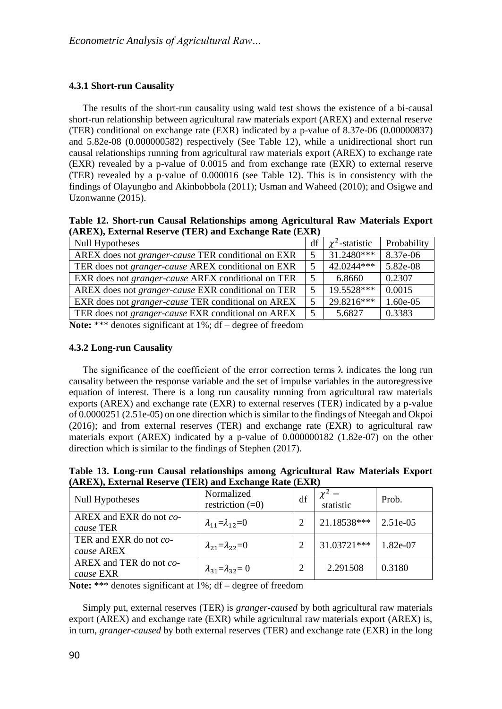## **4.3.1 Short-run Causality**

The results of the short-run causality using wald test shows the existence of a bi-causal short-run relationship between agricultural raw materials export (AREX) and external reserve (TER) conditional on exchange rate (EXR) indicated by a p-value of 8.37e-06 (0.00000837) and 5.82e-08 (0.000000582) respectively (See Table 12), while a unidirectional short run causal relationships running from agricultural raw materials export (AREX) to exchange rate (EXR) revealed by a p-value of 0.0015 and from exchange rate (EXR) to external reserve (TER) revealed by a p-value of 0.000016 (see Table 12). This is in consistency with the findings of Olayungbo and Akinbobbola (2011); Usman and Waheed (2010); and Osigwe and Uzonwanne (2015).

**Table 12. Short-run Causal Relationships among Agricultural Raw Materials Export (AREX), External Reserve (TER) and Exchange Rate (EXR)**

| Null Hypotheses                                           | df | $\chi^2$ -statistic | Probability |
|-----------------------------------------------------------|----|---------------------|-------------|
| AREX does not <i>granger-cause</i> TER conditional on EXR | .5 | $31.2480***$        | 8.37e-06    |
| TER does not granger-cause AREX conditional on EXR        | 5  | 42.0244***          | 5.82e-08    |
| EXR does not granger-cause AREX conditional on TER        | 5  | 6.8660              | 0.2307      |
| AREX does not granger-cause EXR conditional on TER        | 5  | 19.5528***          | 0.0015      |
| EXR does not <i>granger-cause</i> TER conditional on AREX | 5  | $29.8216***$        | 1.60e-05    |
| TER does not granger-cause EXR conditional on AREX        | 5  | 5.6827              | 0.3383      |

**Note:** \*\*\* denotes significant at 1%; df – degree of freedom

### **4.3.2 Long-run Causality**

The significance of the coefficient of the error correction terms  $\lambda$  indicates the long run causality between the response variable and the set of impulse variables in the autoregressive equation of interest. There is a long run causality running from agricultural raw materials exports (AREX) and exchange rate (EXR) to external reserves (TER) indicated by a p-value of 0.0000251 (2.51e-05) on one direction which is similar to the findings of Nteegah and Okpoi (2016); and from external reserves (TER) and exchange rate (EXR) to agricultural raw materials export (AREX) indicated by a p-value of 0.000000182 (1.82e-07) on the other direction which is similar to the findings of Stephen (2017).

**Table 13. Long-run Causal relationships among Agricultural Raw Materials Export (AREX), External Reserve (TER) and Exchange Rate (EXR)**

| <b>Null Hypotheses</b>               | Normalized<br>restriction $(=0)$  | df | statistic   | Prob.      |
|--------------------------------------|-----------------------------------|----|-------------|------------|
| AREX and EXR do not co-<br>cause TER | $\lambda_{11}=\lambda_{12}=0$     |    | 21.18538*** | $2.51e-05$ |
| TER and EXR do not co-<br>cause AREX | $\lambda_{21}=\lambda_{22}=0$     |    | 31.03721*** | 1.82e-07   |
| AREX and TER do not co-<br>cause EXR | $\lambda_{31} = \lambda_{32} = 0$ | 2  | 2.291508    | 0.3180     |

**Note:** \*\*\* denotes significant at 1%; df – degree of freedom

Simply put, external reserves (TER) is *granger-caused* by both agricultural raw materials export (AREX) and exchange rate (EXR) while agricultural raw materials export (AREX) is, in turn, *granger-caused* by both external reserves (TER) and exchange rate (EXR) in the long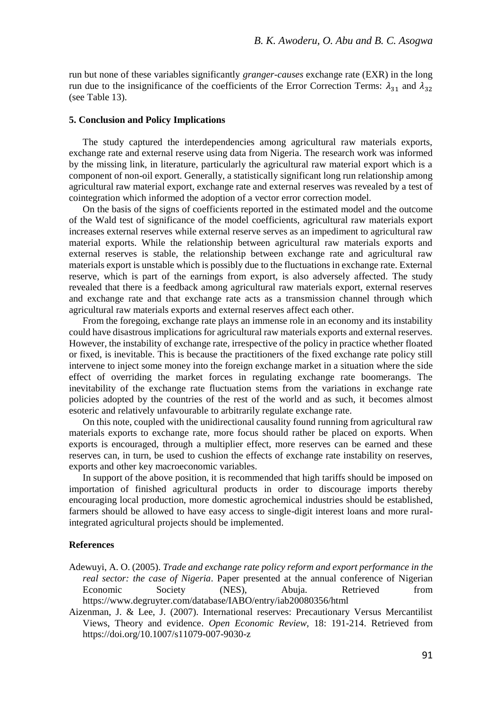run but none of these variables significantly *granger-causes* exchange rate (EXR) in the long run due to the insignificance of the coefficients of the Error Correction Terms:  $\lambda_{31}$  and  $\lambda_{32}$ (see Table 13).

#### **5. Conclusion and Policy Implications**

The study captured the interdependencies among agricultural raw materials exports, exchange rate and external reserve using data from Nigeria. The research work was informed by the missing link, in literature, particularly the agricultural raw material export which is a component of non-oil export. Generally, a statistically significant long run relationship among agricultural raw material export, exchange rate and external reserves was revealed by a test of cointegration which informed the adoption of a vector error correction model.

On the basis of the signs of coefficients reported in the estimated model and the outcome of the Wald test of significance of the model coefficients, agricultural raw materials export increases external reserves while external reserve serves as an impediment to agricultural raw material exports. While the relationship between agricultural raw materials exports and external reserves is stable, the relationship between exchange rate and agricultural raw materials export is unstable which is possibly due to the fluctuations in exchange rate. External reserve, which is part of the earnings from export, is also adversely affected. The study revealed that there is a feedback among agricultural raw materials export, external reserves and exchange rate and that exchange rate acts as a transmission channel through which agricultural raw materials exports and external reserves affect each other.

From the foregoing, exchange rate plays an immense role in an economy and its instability could have disastrous implications for agricultural raw materials exports and external reserves. However, the instability of exchange rate, irrespective of the policy in practice whether floated or fixed, is inevitable. This is because the practitioners of the fixed exchange rate policy still intervene to inject some money into the foreign exchange market in a situation where the side effect of overriding the market forces in regulating exchange rate boomerangs. The inevitability of the exchange rate fluctuation stems from the variations in exchange rate policies adopted by the countries of the rest of the world and as such, it becomes almost esoteric and relatively unfavourable to arbitrarily regulate exchange rate.

On this note, coupled with the unidirectional causality found running from agricultural raw materials exports to exchange rate, more focus should rather be placed on exports. When exports is encouraged, through a multiplier effect, more reserves can be earned and these reserves can, in turn, be used to cushion the effects of exchange rate instability on reserves, exports and other key macroeconomic variables.

In support of the above position, it is recommended that high tariffs should be imposed on importation of finished agricultural products in order to discourage imports thereby encouraging local production, more domestic agrochemical industries should be established, farmers should be allowed to have easy access to single-digit interest loans and more ruralintegrated agricultural projects should be implemented.

## **References**

- Adewuyi, A. O. (2005). *Trade and exchange rate policy reform and export performance in the real sector: the case of Nigeria*. Paper presented at the annual conference of Nigerian Economic Society (NES), Abuja. Retrieved from <https://www.degruyter.com/database/IABO/entry/iab20080356/html>
- Aizenman, J. & Lee, J. (2007). International reserves: Precautionary Versus Mercantilist Views, Theory and evidence. *Open Economic Review,* 18: 191-214. Retrieved from <https://doi.org/10.1007/s11079-007-9030-z>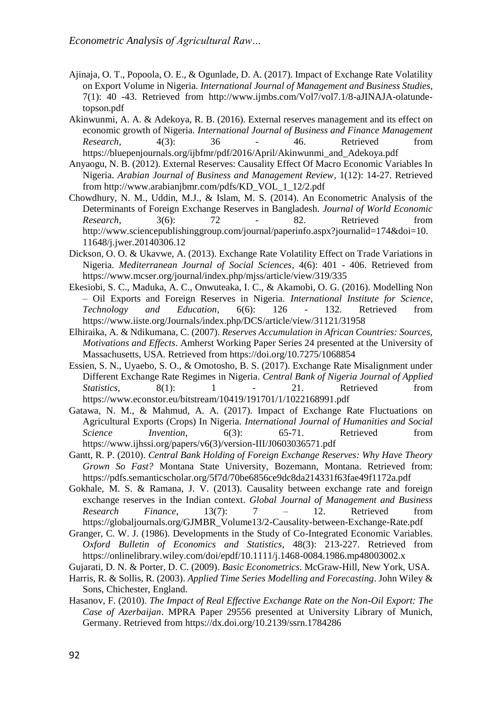- Ajinaja, O. T., Popoola, O. E., & Ogunlade, D. A. (2017). Impact of Exchange Rate Volatility on Export Volume in Nigeria. *International Journal of Management and Business Studies,* 7(1): 40 -43. Retrieved from [http://www.ijmbs.com/Vol7/vol7.1/8-aJINAJA-olatunde](http://www.ijmbs.com/Vol7/vol7.1/8-aJINAJA-olatunde-topson.pdf)[topson.pdf](http://www.ijmbs.com/Vol7/vol7.1/8-aJINAJA-olatunde-topson.pdf)
- Akinwunmi, A. A. & Adekoya, R. B. (2016). External reserves management and its effect on economic growth of Nigeria. *International Journal of Business and Finance Management Research,* 4(3): 36 - 46. Retrieved from [https://bluepenjournals.org/ijbfmr/pdf/2016/April/Akinwunmi\\_and\\_Adekoya.pdf](https://bluepenjournals.org/ijbfmr/pdf/2016/April/Akinwunmi_and_Adekoya.pdf)
- Anyaogu, N. B. (2012). External Reserves: Causality Effect Of Macro Economic Variables In Nigeria. *Arabian Journal of Business and Management Review,* 1(12): 14-27. Retrieved from [http://www.arabianjbmr.com/pdfs/KD\\_VOL\\_1\\_12/2.pdf](http://www.arabianjbmr.com/pdfs/KD_VOL_1_12/2.pdf)
- Chowdhury, N. M., Uddin, M.J., & Islam, M. S. (2014). An Econometric Analysis of the Determinants of Foreign Exchange Reserves in Bangladesh. *Journal of World Economic Research,* 3(6): 72 - 82. Retrieved from [http://www.sciencepublishinggroup.com/journal/paperinfo.aspx?journalid=174&doi=10.](http://www.sciencepublishinggroup.com/journal/paperinfo.aspx?journalid=174&doi=10.11648/j.jwer.20140306.12) [11648/j.jwer.20140306.12](http://www.sciencepublishinggroup.com/journal/paperinfo.aspx?journalid=174&doi=10.11648/j.jwer.20140306.12)
- Dickson, O. O. & Ukavwe, A. (2013). Exchange Rate Volatility Effect on Trade Variations in Nigeria. *Mediterranean Journal of Social Sciences,* 4(6): 401 - 406. Retrieved from <https://www.mcser.org/journal/index.php/mjss/article/view/319/335>
- Ekesiobi, S. C., Maduka, A. C., Onwuteaka, I. C., & Akamobi, O. G. (2016). Modelling Non – Oil Exports and Foreign Reserves in Nigeria. *International Institute for Science, Technology and Education,* 6(6): 126 - 132. Retrieved from <https://www.iiste.org/Journals/index.php/DCS/article/view/31121/31958>
- Elhiraika, A. & Ndikumana, C. (2007). *Reserves Accumulation in African Countries: Sources, Motivations and Effects*. Amherst Working Paper Series 24 presented at the University of Massachusetts, USA. Retrieved from<https://doi.org/10.7275/1068854>
- Essien, S. N., Uyaebo, S. O., & Omotosho, B. S. (2017). Exchange Rate Misalignment under Different Exchange Rate Regimes in Nigeria. *Central Bank of Nigeria Journal of Applied Statistics*, 8(1): 1 - 21. Retrieved from <https://www.econstor.eu/bitstream/10419/191701/1/1022168991.pdf>
- Gatawa, N. M., & Mahmud, A. A. (2017). Impact of Exchange Rate Fluctuations on Agricultural Exports (Crops) In Nigeria. *International Journal of Humanities and Social Science Invention,* 6(3): 65-71. Retrieved from [https://www.ijhssi.org/papers/v6\(3\)/version-III/J0603036571.pdf](https://www.ijhssi.org/papers/v6(3)/version-III/J0603036571.pdf)
- Gantt, R. P. (2010). *Central Bank Holding of Foreign Exchange Reserves: Why Have Theory Grown So Fast?* Montana State University, Bozemann, Montana. Retrieved from: <https://pdfs.semanticscholar.org/5f7d/70be6856ce9dc8da214331f63fae49f1172a.pdf>
- Gokhale, M. S. & Ramana, J. V. (2013). Causality between exchange rate and foreign exchange reserves in the Indian context. *Global Journal of Management and Business Research Finance*, 13(7): 7 – 12. Retrieved from [https://globaljournals.org/GJMBR\\_Volume13/2-Causality-between-Exchange-Rate.pdf](https://globaljournals.org/GJMBR_Volume13/2-Causality-between-Exchange-Rate.pdf)
- Granger, C. W. J. (1986). Developments in the Study of Co-Integrated Economic Variables. *Oxford Bulletin of Economics and Statistics,* 48(3): 213-227. Retrieved from <https://onlinelibrary.wiley.com/doi/epdf/10.1111/j.1468-0084.1986.mp48003002.x>

Gujarati, D. N. & Porter, D. C. (2009). *Basic Econometrics*. McGraw-Hill, New York, USA.

- Harris, R. & Sollis, R. (2003). *Applied Time Series Modelling and Forecasting*. John Wiley & Sons, Chichester, England.
- Hasanov, F. (2010). *The Impact of Real Effective Exchange Rate on the Non-Oil Export: The Case of Azerbaijan*. MPRA Paper 29556 presented at University Library of Munich, Germany. Retrieved fro[m https://dx.doi.org/10.2139/ssrn.1784286](https://dx.doi.org/10.2139/ssrn.1784286)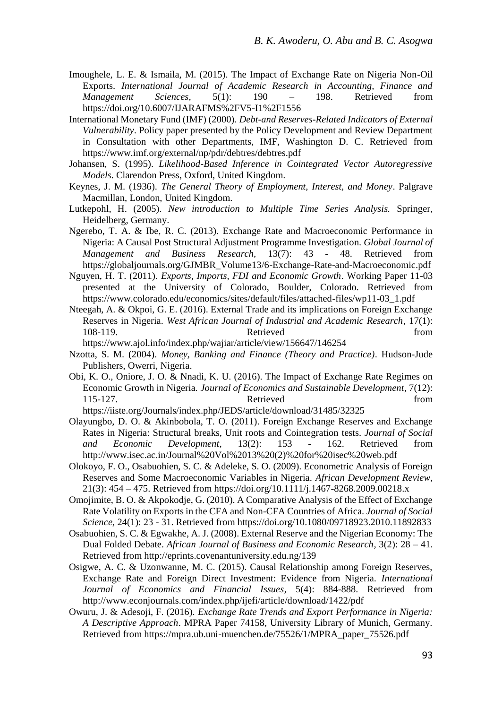- Imoughele, L. E. & Ismaila, M. (2015). The Impact of Exchange Rate on Nigeria Non-Oil Exports. *International Journal of Academic Research in Accounting, Finance and Management Sciences,* 5(1): 190 – 198. Retrieved from <https://doi.org/10.6007/IJARAFMS%2FV5-I1%2F1556>
- International Monetary Fund (IMF) (2000). *Debt-and Reserves-Related Indicators of External Vulnerability*. Policy paper presented by the Policy Development and Review Department in Consultation with other Departments, IMF, Washington D. C. Retrieved from <https://www.imf.org/external/np/pdr/debtres/debtres.pdf>
- Johansen, S. (1995). *Likelihood-Based Inference in Cointegrated Vector Autoregressive Models*. Clarendon Press, Oxford, United Kingdom.
- Keynes, J. M. (1936). *The General Theory of Employment, Interest, and Money*. Palgrave Macmillan, London, United Kingdom.
- Lutkepohl, H. (2005). *New introduction to Multiple Time Series Analysis.* Springer, Heidelberg, Germany.
- Ngerebo, T. A. & Ibe, R. C. (2013). Exchange Rate and Macroeconomic Performance in Nigeria: A Causal Post Structural Adjustment Programme Investigation. *Global Journal of Management and Business Research,* 13(7): 43 - 48. Retrieved from [https://globaljournals.org/GJMBR\\_Volume13/6-Exchange-Rate-and-Macroeconomic.pdf](https://globaljournals.org/GJMBR_Volume13/6-Exchange-Rate-and-Macroeconomic.pdf)
- Nguyen, H. T. (2011). *Exports, Imports, FDI and Economic Growth*. Working Paper 11-03 presented at the University of Colorado, Boulder, Colorado. Retrieved from [https://www.colorado.edu/economics/sites/default/files/attached-files/wp11-03\\_1.pdf](https://www.colorado.edu/economics/sites/default/files/attached-files/wp11-03_1.pdf)
- Nteegah, A. & Okpoi, G. E. (2016). External Trade and its implications on Foreign Exchange Reserves in Nigeria. *West African Journal of Industrial and Academic Research,* 17(1): 108-119. Retrieved from <https://www.ajol.info/index.php/wajiar/article/view/156647/146254>
- Nzotta, S. M. (2004). *Money, Banking and Finance (Theory and Practice)*. Hudson-Jude Publishers, Owerri, Nigeria.
- Obi, K. O., Oniore, J. O. & Nnadi, K. U. (2016). The Impact of Exchange Rate Regimes on Economic Growth in Nigeria*. Journal of Economics and Sustainable Development,* 7(12): 115-127. Retrieved from

<https://iiste.org/Journals/index.php/JEDS/article/download/31485/32325>

- Olayungbo, D. O. & Akinbobola, T. O. (2011). Foreign Exchange Reserves and Exchange Rates in Nigeria: Structural breaks, Unit roots and Cointegration tests. *Journal of Social and Economic Development,* 13(2): 153 - 162. Retrieved from [http://www.isec.ac.in/Journal%20Vol%2013%20\(2\)%20for%20isec%20web.pdf](http://www.isec.ac.in/Journal%20Vol%2013%20(2)%20for%20isec%20web.pdf)
- Olokoyo, F. O., Osabuohien, S. C. & Adeleke, S. O. (2009). Econometric Analysis of Foreign Reserves and Some Macroeconomic Variables in Nigeria. *African Development Review,* 21(3): 454 – 475. Retrieved from<https://doi.org/10.1111/j.1467-8268.2009.00218.x>
- Omojimite, B. O. & Akpokodje, G. (2010). A Comparative Analysis of the Effect of Exchange Rate Volatility on Exports in the CFA and Non-CFA Countries of Africa. *Journal of Social Science,* 24(1): 23 - 31. Retrieved from<https://doi.org/10.1080/09718923.2010.11892833>
- Osabuohien, S. C. & Egwakhe, A. J. (2008). External Reserve and the Nigerian Economy: The Dual Folded Debate. *African Journal of Business and Economic Research,* 3(2): 28 – 41. Retrieved from<http://eprints.covenantuniversity.edu.ng/139>
- Osigwe, A. C. & Uzonwanne, M. C. (2015). Causal Relationship among Foreign Reserves, Exchange Rate and Foreign Direct Investment: Evidence from Nigeria. *International Journal of Economics and Financial Issues,* 5(4): 884-888. Retrieved from <http://www.econjournals.com/index.php/ijefi/article/download/1422/pdf>
- Owuru, J. & Adesoji, F. (2016). *Exchange Rate Trends and Export Performance in Nigeria: A Descriptive Approach*. MPRA Paper 74158, University Library of Munich, Germany. Retrieved from [https://mpra.ub.uni-muenchen.de/75526/1/MPRA\\_paper\\_75526.pdf](https://mpra.ub.uni-muenchen.de/75526/1/MPRA_paper_75526.pdf)